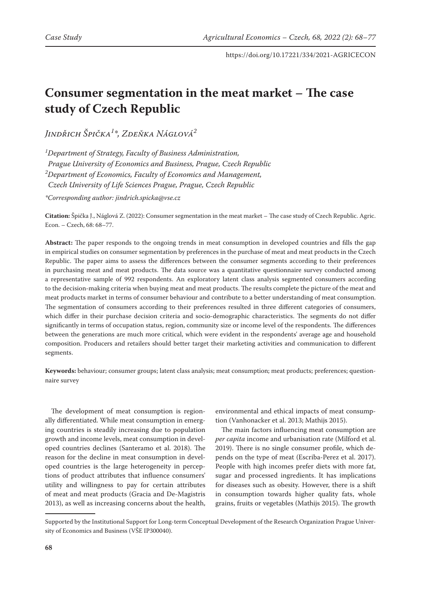# **Consumer segmentation in the meat market – The case study of Czech Republic**

*Jindřich Špička1 \*, Zdeňka Náglová2*

*1 Department of Strategy, Faculty of Business Administration, Prague University of Economics and Business, Prague, Czech Republic 2 Department of Economics, Faculty of Economics and Management, Czech University of Life Sciences Prague, Prague, Czech Republic*

*\*Corresponding author: jindrich.spicka@vse.cz*

**Citation:** Špička J., Náglová Z. (2022): Consumer segmentation in the meat market – The case study of Czech Republic. Agric. Econ. – Czech, 68: 68–77.

**Abstract:** The paper responds to the ongoing trends in meat consumption in developed countries and fills the gap in empirical studies on consumer segmentation by preferences in the purchase of meat and meat products in the Czech Republic. The paper aims to assess the differences between the consumer segments according to their preferences in purchasing meat and meat products. The data source was a quantitative questionnaire survey conducted among a representative sample of 992 respondents. An exploratory latent class analysis segmented consumers according to the decision-making criteria when buying meat and meat products. The results complete the picture of the meat and meat products market in terms of consumer behaviour and contribute to a better understanding of meat consumption. The segmentation of consumers according to their preferences resulted in three different categories of consumers, which differ in their purchase decision criteria and socio-demographic characteristics. The segments do not differ significantly in terms of occupation status, region, community size or income level of the respondents. The differences between the generations are much more critical, which were evident in the respondents' average age and household composition. Producers and retailers should better target their marketing activities and communication to different segments.

**Keywords:** behaviour; consumer groups; latent class analysis; meat consumption; meat products; preferences; questionnaire survey

The development of meat consumption is regionally differentiated. While meat consumption in emerging countries is steadily increasing due to population growth and income levels, meat consumption in developed countries declines (Santeramo et al. 2018). The reason for the decline in meat consumption in developed countries is the large heterogeneity in perceptions of product attributes that influence consumers' utility and willingness to pay for certain attributes of meat and meat products (Gracia and De-Magistris 2013), as well as increasing concerns about the health,

environmental and ethical impacts of meat consumption (Vanhonacker et al. 2013; Mathijs 2015).

The main factors influencing meat consumption are *per capita* income and urbanisation rate (Milford et al. 2019). There is no single consumer profile, which depends on the type of meat (Escriba-Perez et al. 2017). People with high incomes prefer diets with more fat, sugar and processed ingredients. It has implications for diseases such as obesity. However, there is a shift in consumption towards higher quality fats, whole grains, fruits or vegetables (Mathijs 2015). The growth

Supported by the Institutional Support for Long-term Conceptual Development of the Research Organization Prague University of Economics and Business (VŠE IP300040).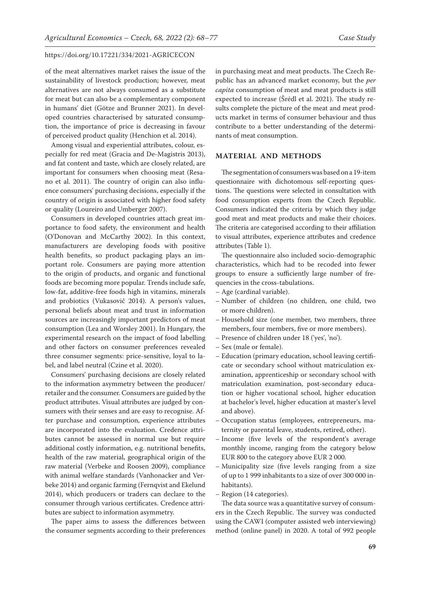of the meat alternatives market raises the issue of the sustainability of livestock production; however, meat alternatives are not always consumed as a substitute for meat but can also be a complementary component in humans' diet (Götze and Brunner 2021). In developed countries characterised by saturated consumption, the importance of price is decreasing in favour of perceived product quality (Henchion et al. 2014).

Among visual and experiential attributes, colour, especially for red meat (Gracia and De-Magistris 2013), and fat content and taste, which are closely related, are important for consumers when choosing meat (Resano et al. 2011). The country of origin can also influence consumers' purchasing decisions, especially if the country of origin is associated with higher food safety or quality (Loureiro and Umberger 2007).

Consumers in developed countries attach great importance to food safety, the environment and health (O'Donovan and McCarthy 2002). In this context, manufacturers are developing foods with positive health benefits, so product packaging plays an important role. Consumers are paying more attention to the origin of products, and organic and functional foods are becoming more popular. Trends include safe, low-fat, additive-free foods high in vitamins, minerals and probiotics (Vukasovič 2014). A person's values, personal beliefs about meat and trust in information sources are increasingly important predictors of meat consumption (Lea and Worsley 2001). In Hungary, the experimental research on the impact of food labelling and other factors on consumer preferences revealed three consumer segments: price-sensitive, loyal to label, and label neutral (Czine et al. 2020).

Consumers' purchasing decisions are closely related to the information asymmetry between the producer/ retailer and the consumer. Consumers are guided by the product attributes. Visual attributes are judged by consumers with their senses and are easy to recognise. After purchase and consumption, experience attributes are incorporated into the evaluation. Credence attributes cannot be assessed in normal use but require additional costly information, e.g. nutritional benefits, health of the raw material, geographical origin of the raw material (Verbeke and Roosen 2009), compliance with animal welfare standards (Vanhonacker and Verbeke 2014) and organic farming (Fernqvist and Ekelund 2014), which producers or traders can declare to the consumer through various certificates. Credence attributes are subject to information asymmetry.

The paper aims to assess the differences between the consumer segments according to their preferences

in purchasing meat and meat products. The Czech Republic has an advanced market economy, but the *per capita* consumption of meat and meat products is still expected to increase (Šrédl et al. 2021). The study results complete the picture of the meat and meat products market in terms of consumer behaviour and thus contribute to a better understanding of the determinants of meat consumption.

# **MATERIAL AND METHODS**

The segmentation of consumers was based on a 19-item questionnaire with dichotomous self-reporting questions. The questions were selected in consultation with food consumption experts from the Czech Republic. Consumers indicated the criteria by which they judge good meat and meat products and make their choices. The criteria are categorised according to their affiliation to visual attributes, experience attributes and credence attributes (Table 1).

The questionnaire also included socio-demographic characteristics, which had to be recoded into fewer groups to ensure a sufficiently large number of frequencies in the cross-tabulations.

- Age (cardinal variable).
- Number of children (no children, one child, two or more children).
- Household size (one member, two members, three members, four members, five or more members).
- Presence of children under 18 ('yes', 'no').
- Sex (male or female).
- Education (primary education, school leaving certificate or secondary school without matriculation examination, apprenticeship or secondary school with matriculation examination, post-secondary education or higher vocational school, higher education at bachelor's level, higher education at master's level and above).
- Occupation status (employees, entrepreneurs, maternity or parental leave, students, retired, other).
- Income (five levels of the respondent's average monthly income, ranging from the category below EUR 800 to the category above EUR 2 000.
- Municipality size (five levels ranging from a size of up to 1 999 inhabitants to a size of over 300 000 inhabitants).
- Region (14 categories).

The data source was a quantitative survey of consumers in the Czech Republic. The survey was conducted using the CAWI (computer assisted web interviewing) method (online panel) in 2020. A total of 992 people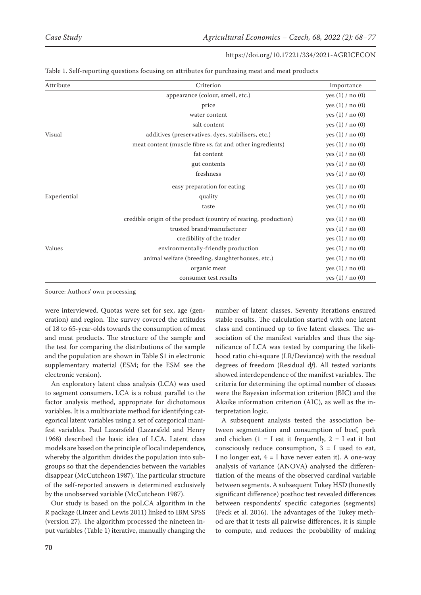| Attribute    | Criterion                                                       | Importance       |
|--------------|-----------------------------------------------------------------|------------------|
|              | appearance (colour, smell, etc.)                                | yes (1) / no (0) |
|              | price                                                           | yes (1) / no (0) |
|              | water content                                                   | yes (1) / no (0) |
|              | salt content                                                    | yes (1) / no (0) |
| Visual       | additives (preservatives, dyes, stabilisers, etc.)              | yes (1) / no (0) |
|              | meat content (muscle fibre vs. fat and other ingredients)       | yes (1) / no (0) |
|              | fat content                                                     | yes (1) / no (0) |
|              | gut contents                                                    | yes (1) / no (0) |
|              | freshness                                                       | yes (1) / no (0) |
|              | easy preparation for eating                                     | yes (1) / no (0) |
| Experiential | quality                                                         | yes (1) / no (0) |
|              | taste                                                           | yes (1) / no (0) |
|              | credible origin of the product (country of rearing, production) | yes (1) / no (0) |
|              | trusted brand/manufacturer                                      | yes (1) / no (0) |
|              | credibility of the trader                                       | yes (1) / no (0) |
| Values       | environmentally-friendly production                             | yes (1) / no (0) |
|              | animal welfare (breeding, slaughterhouses, etc.)                | yes (1) / no (0) |
|              | organic meat                                                    | yes (1) / no (0) |
|              | consumer test results                                           | yes (1) / no (0) |

#### Table 1. Self-reporting questions focusing on attributes for purchasing meat and meat products

Source: Authors' own processing

were interviewed. Quotas were set for sex, age (generation) and region. The survey covered the attitudes of 18 to 65-year-olds towards the consumption of meat and meat products. The structure of the sample and the test for comparing the distributions of the sample and the population are shown in Table S1 in electronic supplementary material [\(ESM; for the ESM see the](https://www.agriculturejournals.cz/web/agricecon.htm?type=easForDoiArticle&id=334_2021-AGRICECON)  [electronic version\)](https://www.agriculturejournals.cz/web/agricecon.htm?type=easForDoiArticle&id=334_2021-AGRICECON).

An exploratory latent class analysis (LCA) was used to segment consumers. LCA is a robust parallel to the factor analysis method, appropriate for dichotomous variables. It is a multivariate method for identifying categorical latent variables using a set of categorical manifest variables. Paul Lazarsfeld (Lazarsfeld and Henry 1968) described the basic idea of LCA. Latent class models are based on the principle of local independence, whereby the algorithm divides the population into subgroups so that the dependencies between the variables disappear (McCutcheon 1987). The particular structure of the self-reported answers is determined exclusively by the unobserved variable (McCutcheon 1987).

Our study is based on the poLCA algorithm in the R package (Linzer and Lewis 2011) linked to IBM SPSS (version 27). The algorithm processed the nineteen input variables (Table 1) iterative, manually changing the number of latent classes. Seventy iterations ensured stable results. The calculation started with one latent class and continued up to five latent classes. The association of the manifest variables and thus the significance of LCA was tested by comparing the likelihood ratio chi-square (LR/Deviance) with the residual degrees of freedom (Residual d*f*). All tested variants showed interdependence of the manifest variables. The criteria for determining the optimal number of classes were the Bayesian information criterion (BIC) and the Akaike information criterion (AIC), as well as the interpretation logic.

A subsequent analysis tested the association between segmentation and consumption of beef, pork and chicken  $(1 = I$  eat it frequently,  $2 = I$  eat it but consciously reduce consumption,  $3 = I$  used to eat, I no longer eat,  $4 = I$  have never eaten it). A one-way analysis of variance (ANOVA) analysed the differentiation of the means of the observed cardinal variable between segments. A subsequent Tukey HSD (honestly significant difference) posthoc test revealed differences between respondents' specific categories (segments) (Peck et al. 2016). The advantages of the Tukey method are that it tests all pairwise differences, it is simple to compute, and reduces the probability of making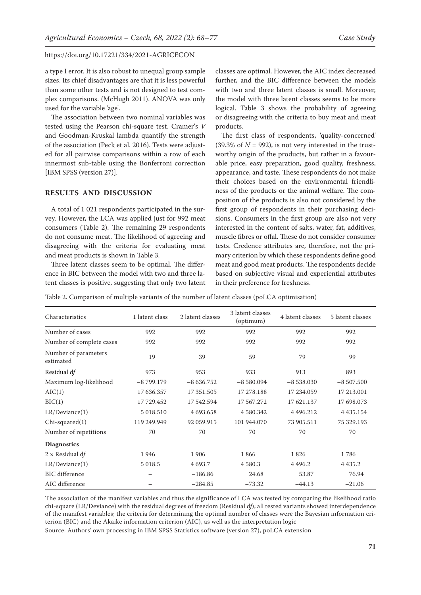a type I error. It is also robust to unequal group sample sizes. Its chief disadvantages are that it is less powerful than some other tests and is not designed to test complex comparisons. (McHugh 2011). ANOVA was only used for the variable 'age'.

The association between two nominal variables was tested using the Pearson chi-square test. Cramer's *V* and Goodman-Kruskal lambda quantify the strength of the association (Peck et al. 2016). Tests were adjusted for all pairwise comparisons within a row of each innermost sub-table using the Bonferroni correction [IBM SPSS (version 27)].

## **RESULTS AND DISCUSSION**

A total of 1 021 respondents participated in the survey. However, the LCA was applied just for 992 meat consumers (Table 2). The remaining 29 respondents do not consume meat. The likelihood of agreeing and disagreeing with the criteria for evaluating meat and meat products is shown in Table 3.

Three latent classes seem to be optimal. The difference in BIC between the model with two and three latent classes is positive, suggesting that only two latent

classes are optimal. However, the AIC index decreased further, and the BIC difference between the models with two and three latent classes is small. Moreover, the model with three latent classes seems to be more logical. Table 3 shows the probability of agreeing or disagreeing with the criteria to buy meat and meat products.

The first class of respondents, 'quality-concerned' (39.3% of  $N = 992$ ), is not very interested in the trustworthy origin of the products, but rather in a favourable price, easy preparation, good quality, freshness, appearance, and taste. These respondents do not make their choices based on the environmental friendliness of the products or the animal welfare. The composition of the products is also not considered by the first group of respondents in their purchasing decisions. Consumers in the first group are also not very interested in the content of salts, water, fat, additives, muscle fibres or offal. These do not consider consumer tests. Credence attributes are, therefore, not the primary criterion by which these respondents define good meat and good meat products. The respondents decide based on subjective visual and experiential attributes in their preference for freshness.

Table 2. Comparison of multiple variants of the number of latent classes (poLCA optimisation)

| Characteristics                   | 1 latent class | 2 latent classes | 3 latent classes<br>(optimum) | 4 latent classes | 5 latent classes |
|-----------------------------------|----------------|------------------|-------------------------------|------------------|------------------|
| Number of cases                   | 992            | 992              | 992                           | 992              | 992              |
| Number of complete cases          | 992            | 992              | 992                           | 992              | 992              |
| Number of parameters<br>estimated | 19             | 39               | 59                            | 79               | 99               |
| Residual df                       | 973            | 953              | 933                           | 913              | 893              |
| Maximum log-likelihood            | $-8799.179$    | $-8636.752$      | $-8580.094$                   | $-8538.030$      | $-8507.500$      |
| AIC(1)                            | 17 636.357     | 17 351.505       | 17 278.188                    | 17 234.059       | 17 213.001       |
| BIC(1)                            | 17 729.452     | 17 542.594       | 17 567.272                    | 17 621.137       | 17 698.073       |
| LR/Deviance(1)                    | 5 018.510      | 4 693.658        | 4 580.342                     | 4496.212         | 4 4 3 5 . 1 5 4  |
| $Chi$ -squared $(1)$              | 119 249.949    | 92 059.915       | 101 944.070                   | 73 905.511       | 75 329.193       |
| Number of repetitions             | 70             | 70               | 70                            | 70               | 70               |
| <b>Diagnostics</b>                |                |                  |                               |                  |                  |
| $2 \times$ Residual df            | 1946           | 1906             | 1866                          | 1826             | 1786             |
| LR/Deviance(1)                    | 5 018.5        | 4 6 9 3.7        | 4 5 8 0 . 3                   | 4 4 9 6.2        | 4 4 3 5 . 2      |
| <b>BIC</b> difference             |                | $-186.86$        | 24.68                         | 53.87            | 76.94            |
| AIC difference                    |                | $-284.85$        | $-73.32$                      | $-44.13$         | $-21.06$         |

The association of the manifest variables and thus the significance of LCA was tested by comparing the likelihood ratio chi-square (LR/Deviance) with the residual degrees of freedom (Residual d*f*); all tested variants showed interdependence of the manifest variables; the criteria for determining the optimal number of classes were the Bayesian information criterion (BIC) and the Akaike information criterion (AIC), as well as the interpretation logic

Source: Authors' own processing in IBM SPSS Statistics software (version 27), poLCA extension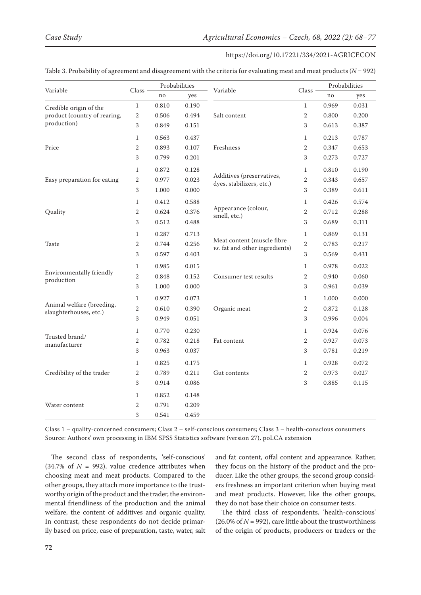| Table 3. Probability of agreement and disagreement with the criteria for evaluating meat and meat products (N = 992) |  |  |  |
|----------------------------------------------------------------------------------------------------------------------|--|--|--|
|----------------------------------------------------------------------------------------------------------------------|--|--|--|

|                                                     |                |       | Probabilities |                                                              |                | Probabilities |       |
|-----------------------------------------------------|----------------|-------|---------------|--------------------------------------------------------------|----------------|---------------|-------|
| Variable                                            | Class          | no    | yes           | Variable                                                     | Class          | no            | yes   |
| Credible origin of the                              | $\mathbf{1}$   | 0.810 | 0.190         |                                                              | $\mathbf{1}$   | 0.969         | 0.031 |
| product (country of rearing,                        | $\overline{2}$ | 0.506 | 0.494         | Salt content                                                 | $\overline{2}$ | 0.800         | 0.200 |
| production)                                         | 3              | 0.849 | 0.151         |                                                              | 3              | 0.613         | 0.387 |
|                                                     | 1              | 0.563 | 0.437         |                                                              | $\mathbf{1}$   | 0.213         | 0.787 |
| Price                                               | $\overline{2}$ | 0.893 | 0.107         | Freshness                                                    | $\overline{2}$ | 0.347         | 0.653 |
|                                                     | 3              | 0.799 | 0.201         |                                                              | 3              | 0.273         | 0.727 |
|                                                     | 1              | 0.872 | 0.128         |                                                              | $\mathbf{1}$   | 0.810         | 0.190 |
| Easy preparation for eating                         | $\overline{2}$ | 0.977 | 0.023         | Additives (preservatives,<br>dyes, stabilizers, etc.)        | $\overline{2}$ | 0.343         | 0.657 |
|                                                     | 3              | 1.000 | 0.000         |                                                              | 3              | 0.389         | 0.611 |
|                                                     | 1              | 0.412 | 0.588         |                                                              | $\mathbf{1}$   | 0.426         | 0.574 |
| Quality                                             | $\overline{2}$ | 0.624 | 0.376         | Appearance (colour,<br>smell, etc.)                          | $\overline{2}$ | 0.712         | 0.288 |
|                                                     | 3              | 0.512 | 0.488         |                                                              | 3              | 0.689         | 0.311 |
| Taste                                               | 1              | 0.287 | 0.713         | Meat content (muscle fibre<br>vs. fat and other ingredients) | 1              | 0.869         | 0.131 |
|                                                     | $\mathbf{2}$   | 0.744 | 0.256         |                                                              | $\overline{2}$ | 0.783         | 0.217 |
|                                                     | 3              | 0.597 | 0.403         |                                                              | 3              | 0.569         | 0.431 |
|                                                     | 1              | 0.985 | 0.015         |                                                              | $\mathbf{1}$   | 0.978         | 0.022 |
| Environmentally friendly                            | $\overline{2}$ | 0.848 | 0.152         | Consumer test results                                        | 2              | 0.940         | 0.060 |
| production                                          | 3              | 1.000 | 0.000         |                                                              | 3              | 0.961         | 0.039 |
|                                                     | 1              | 0.927 | 0.073         |                                                              | $\mathbf{1}$   | 1.000         | 0.000 |
| Animal welfare (breeding,<br>slaughterhouses, etc.) | $\overline{2}$ | 0.610 | 0.390         | Organic meat                                                 | $\overline{2}$ | 0.872         | 0.128 |
|                                                     | 3              | 0.949 | 0.051         |                                                              | 3              | 0.996         | 0.004 |
|                                                     | 1              | 0.770 | 0.230         |                                                              | $\mathbf{1}$   | 0.924         | 0.076 |
| Trusted brand/<br>manufacturer                      | $\overline{2}$ | 0.782 | 0.218         | Fat content                                                  | $\overline{2}$ | 0.927         | 0.073 |
|                                                     | 3              | 0.963 | 0.037         |                                                              | 3              | 0.781         | 0.219 |
|                                                     | 1              | 0.825 | 0.175         |                                                              | $\mathbf{1}$   | 0.928         | 0.072 |
| Credibility of the trader                           | 2              | 0.789 | 0.211         | Gut contents                                                 | 2              | 0.973         | 0.027 |
|                                                     | 3              | 0.914 | 0.086         |                                                              | 3              | 0.885         | 0.115 |
|                                                     | 1              | 0.852 | 0.148         |                                                              |                |               |       |
| Water content                                       | 2              | 0.791 | 0.209         |                                                              |                |               |       |
|                                                     | 3              | 0.541 | 0.459         |                                                              |                |               |       |

Class 1 – quality-concerned consumers; Class 2 – self-conscious consumers; Class 3 – health-conscious consumers Source: Authors' own processing in IBM SPSS Statistics software (version 27), poLCA extension

The second class of respondents, 'self-conscious' (34.7% of  $N = 992$ ), value credence attributes when choosing meat and meat products. Compared to the other groups, they attach more importance to the trustworthy origin of the product and the trader, the environmental friendliness of the production and the animal welfare, the content of additives and organic quality. In contrast, these respondents do not decide primarily based on price, ease of preparation, taste, water, salt and fat content, offal content and appearance. Rather, they focus on the history of the product and the producer. Like the other groups, the second group considers freshness an important criterion when buying meat and meat products. However, like the other groups, they do not base their choice on consumer tests.

The third class of respondents, 'health-conscious'  $(26.0\% \text{ of } N = 992)$ , care little about the trustworthiness of the origin of products, producers or traders or the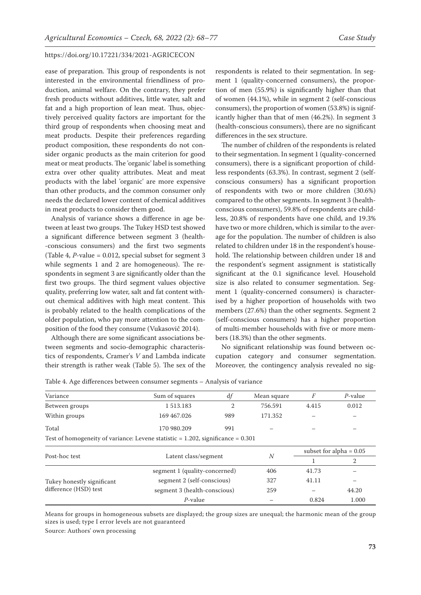ease of preparation. This group of respondents is not interested in the environmental friendliness of production, animal welfare. On the contrary, they prefer fresh products without additives, little water, salt and fat and a high proportion of lean meat. Thus, objectively perceived quality factors are important for the third group of respondents when choosing meat and meat products. Despite their preferences regarding product composition, these respondents do not consider organic products as the main criterion for good meat or meat products. The 'organic' label is something extra over other quality attributes. Meat and meat products with the label 'organic' are more expensive than other products, and the common consumer only needs the declared lower content of chemical additives in meat products to consider them good.

Analysis of variance shows a difference in age between at least two groups. The Tukey HSD test showed a significant difference between segment 3 (health- -conscious consumers) and the first two segments (Table 4, *P*-value = 0.012, special subset for segment 3 while segments 1 and 2 are homogeneous). The respondents in segment 3 are significantly older than the first two groups. The third segment values objective quality, preferring low water, salt and fat content without chemical additives with high meat content. This is probably related to the health complications of the older population, who pay more attention to the composition of the food they consume (Vukasovič 2014).

Although there are some significant associations between segments and socio-demographic characteristics of respondents, Cramer's *V* and Lambda indicate their strength is rather weak (Table 5). The sex of the

respondents is related to their segmentation. In segment 1 (quality-concerned consumers), the proportion of men (55.9%) is significantly higher than that of women (44.1%), while in segment 2 (self-conscious consumers), the proportion of women (53.8%) is significantly higher than that of men (46.2%). In segment 3 (health-conscious consumers), there are no significant differences in the sex structure.

The number of children of the respondents is related to their segmentation. In segment 1 (quality-concerned consumers), there is a significant proportion of childless respondents (63.3%). In contrast, segment 2 (selfconscious consumers) has a significant proportion of respondents with two or more children (30.6%) compared to the other segments. In segment 3 (healthconscious consumers), 59.8% of respondents are childless, 20.8% of respondents have one child, and 19.3% have two or more children, which is similar to the average for the population. The number of children is also related to children under 18 in the respondent's household. The relationship between children under 18 and the respondent's segment assignment is statistically significant at the 0.1 significance level. Household size is also related to consumer segmentation. Segment 1 (quality-concerned consumers) is characterised by a higher proportion of households with two members (27.6%) than the other segments. Segment 2 (self-conscious consumers) has a higher proportion of multi-member households with five or more members (18.3%) than the other segments.

No significant relationship was found between occupation category and consumer segmentation. Moreover, the contingency analysis revealed no sig-

|  | Table 4. Age differences between consumer segments – Analysis of variance |  |  |
|--|---------------------------------------------------------------------------|--|--|
|--|---------------------------------------------------------------------------|--|--|

| Variance                                                                             | Sum of squares                | df             | Mean square | F                         | $P$ -value |
|--------------------------------------------------------------------------------------|-------------------------------|----------------|-------------|---------------------------|------------|
| Between groups                                                                       | 1513.183                      | $\overline{2}$ | 756.591     | 4.415                     | 0.012      |
| Within groups                                                                        | 169 467.026                   | 989            | 171.352     |                           |            |
| Total                                                                                | 170 980.209                   | 991            |             |                           |            |
| Test of homogeneity of variance: Levene statistic $= 1.202$ , significance $= 0.301$ |                               |                |             |                           |            |
| Post-hoc test                                                                        |                               |                |             | subset for alpha $= 0.05$ |            |
|                                                                                      | Latent class/segment          | N              |             | 2                         |            |
|                                                                                      | segment 1 (quality-concerned) |                | 406         | 41.73                     |            |
| Tukey honestly significant                                                           | segment 2 (self-conscious)    | 327            | 41.11       |                           |            |
| difference (HSD) test                                                                | segment 3 (health-conscious)  |                | 259         |                           | 44.20      |
|                                                                                      | $P$ -value                    |                |             | 0.824                     | 1.000      |

Means for groups in homogeneous subsets are displayed; the group sizes are unequal; the harmonic mean of the group sizes is used; type I error levels are not guaranteed

Source: Authors' own processing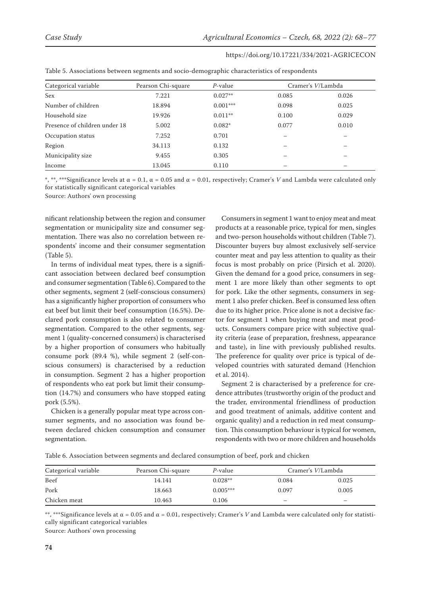| Categorical variable          | Pearson Chi-square | $P$ -value | Cramer's V/Lambda |       |
|-------------------------------|--------------------|------------|-------------------|-------|
| Sex                           | 7.221              | $0.027**$  | 0.085             | 0.026 |
| Number of children            | 18.894             | $0.001***$ | 0.098             | 0.025 |
| Household size                | 19.926             | $0.011**$  | 0.100             | 0.029 |
| Presence of children under 18 | 5.002              | $0.082*$   | 0.077             | 0.010 |
| Occupation status             | 7.252              | 0.701      |                   |       |
| Region                        | 34.113             | 0.132      |                   |       |
| Municipality size             | 9.455              | 0.305      |                   |       |
| Income                        | 13.045             | 0.110      |                   |       |

Table 5. Associations between segments and socio-demographic characteristics of respondents

\*, \*\*, \*\*\*Significance levels at  $\alpha = 0.1$ ,  $\alpha = 0.05$  and  $\alpha = 0.01$ , respectively; Cramer's *V* and Lambda were calculated only for statistically significant categorical variables

Source: Authors' own processing

nificant relationship between the region and consumer segmentation or municipality size and consumer segmentation. There was also no correlation between respondents' income and their consumer segmentation (Table 5).

In terms of individual meat types, there is a significant association between declared beef consumption and consumer segmentation (Table 6). Compared to the other segments, segment 2 (self-conscious consumers) has a significantly higher proportion of consumers who eat beef but limit their beef consumption (16.5%). Declared pork consumption is also related to consumer segmentation. Compared to the other segments, segment 1 (quality-concerned consumers) is characterised by a higher proportion of consumers who habitually consume pork (89.4 %), while segment 2 (self-conscious consumers) is characterised by a reduction in consumption. Segment 2 has a higher proportion of respondents who eat pork but limit their consumption (14.7%) and consumers who have stopped eating pork (5.5%).

Chicken is a generally popular meat type across consumer segments, and no association was found between declared chicken consumption and consumer segmentation.

Consumers in segment 1 want to enjoy meat and meat products at a reasonable price, typical for men, singles and two-person households without children (Table 7). Discounter buyers buy almost exclusively self-service counter meat and pay less attention to quality as their focus is most probably on price (Pirsich et al. 2020). Given the demand for a good price, consumers in segment 1 are more likely than other segments to opt for pork. Like the other segments, consumers in segment 1 also prefer chicken. Beef is consumed less often due to its higher price. Price alone is not a decisive factor for segment 1 when buying meat and meat products. Consumers compare price with subjective quality criteria (ease of preparation, freshness, appearance and taste), in line with previously published results. The preference for quality over price is typical of developed countries with saturated demand (Henchion et al. 2014).

Segment 2 is characterised by a preference for credence attributes (trustworthy origin of the product and the trader, environmental friendliness of production and good treatment of animals, additive content and organic quality) and a reduction in red meat consumption. This consumption behaviour is typical for women, respondents with two or more children and households

Table 6. Association between segments and declared consumption of beef, pork and chicken

| Categorical variable | Pearson Chi-square | P-value    |                          | Cramer's <i>V</i> /Lambda |
|----------------------|--------------------|------------|--------------------------|---------------------------|
| Beef                 | 14.141             | $0.028**$  | 0.084                    | 0.025                     |
| Pork                 | 18.663             | $0.005***$ | 0.097                    | 0.005                     |
| Chicken meat         | 10.463             | 0.106      | $\overline{\phantom{0}}$ | –                         |

\*\*, \*\*\*Significance levels at  $\alpha$  = 0.05 and  $\alpha$  = 0.01, respectively; Cramer's *V* and Lambda were calculated only for statistically significant categorical variables

Source: Authors' own processing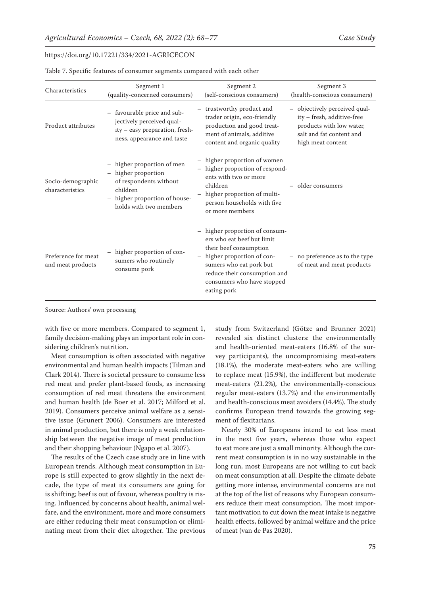| Characteristics                          | Segment 1<br>(quality-concerned consumers)                                                                                                   | Segment 2<br>(self-conscious consumers)                                                                                                                                                                                     | Segment 3<br>(health-conscious consumers)                                                                                                |
|------------------------------------------|----------------------------------------------------------------------------------------------------------------------------------------------|-----------------------------------------------------------------------------------------------------------------------------------------------------------------------------------------------------------------------------|------------------------------------------------------------------------------------------------------------------------------------------|
| Product attributes                       | - favourable price and sub-<br>jectively perceived qual-<br>ity - easy preparation, fresh-<br>ness, appearance and taste                     | - trustworthy product and<br>trader origin, eco-friendly<br>production and good treat-<br>ment of animals, additive<br>content and organic quality                                                                          | - objectively perceived qual-<br>ity - fresh, additive-free<br>products with low water,<br>salt and fat content and<br>high meat content |
| Socio-demographic<br>characteristics     | higher proportion of men<br>higher proportion<br>of respondents without<br>children<br>higher proportion of house-<br>holds with two members | higher proportion of women<br>higher proportion of respond-<br>ents with two or more<br>children<br>higher proportion of multi-<br>person households with five<br>or more members                                           | older consumers                                                                                                                          |
| Preference for meat<br>and meat products | higher proportion of con-<br>sumers who routinely<br>consume pork                                                                            | - higher proportion of consum-<br>ers who eat beef but limit<br>their beef consumption<br>higher proportion of con-<br>sumers who eat pork but<br>reduce their consumption and<br>consumers who have stopped<br>eating pork | - no preference as to the type<br>of meat and meat products                                                                              |

Table 7. Specific features of consumer segments compared with each other

Source: Authors' own processing

with five or more members. Compared to segment 1, family decision-making plays an important role in considering children's nutrition.

Meat consumption is often associated with negative environmental and human health impacts (Tilman and Clark 2014). There is societal pressure to consume less red meat and prefer plant-based foods, as increasing consumption of red meat threatens the environment and human health (de Boer et al. 2017; Milford et al. 2019). Consumers perceive animal welfare as a sensitive issue (Grunert 2006). Consumers are interested in animal production, but there is only a weak relationship between the negative image of meat production and their shopping behaviour (Ngapo et al. 2007).

The results of the Czech case study are in line with European trends. Although meat consumption in Europe is still expected to grow slightly in the next decade, the type of meat its consumers are going for is shifting; beef is out of favour, whereas poultry is rising. Influenced by concerns about health, animal welfare, and the environment, more and more consumers are either reducing their meat consumption or eliminating meat from their diet altogether. The previous

study from Switzerland (Götze and Brunner 2021) revealed six distinct clusters: the environmentally and health-oriented meat-eaters (16.8% of the survey participants), the uncompromising meat-eaters (18.1%), the moderate meat-eaters who are willing to replace meat (15.9%), the indifferent but moderate meat-eaters (21.2%), the environmentally-conscious regular meat-eaters (13.7%) and the environmentally and health-conscious meat avoiders (14.4%). The study confirms European trend towards the growing segment of flexitarians.

Nearly 30% of Europeans intend to eat less meat in the next five years, whereas those who expect to eat more are just a small minority. Although the current meat consumption is in no way sustainable in the long run, most Europeans are not willing to cut back on meat consumption at all. Despite the climate debate getting more intense, environmental concerns are not at the top of the list of reasons why European consumers reduce their meat consumption. The most important motivation to cut down the meat intake is negative health effects, followed by animal welfare and the price of meat (van de Pas 2020).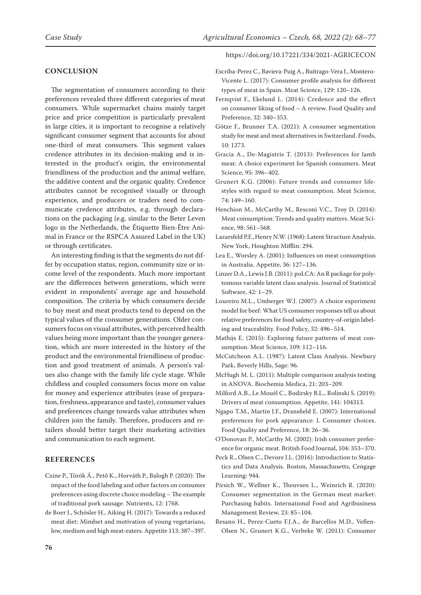## **CONCLUSION**

The segmentation of consumers according to their preferences revealed three different categories of meat consumers. While supermarket chains mainly target price and price competition is particularly prevalent in large cities, it is important to recognise a relatively significant consumer segment that accounts for about one-third of meat consumers. This segment values credence attributes in its decision-making and is interested in the product's origin, the environmental friendliness of the production and the animal welfare, the additive content and the organic quality. Credence attributes cannot be recognised visually or through experience, and producers or traders need to communicate credence attributes, e.g. through declarations on the packaging (e.g. similar to the Beter Leven logo in the Netherlands, the Étiquette Bien-Être Animal in France or the RSPCA Assured Label in the UK) or through certificates.

An interesting finding is that the segments do not differ by occupation status, region, community size or income level of the respondents. Much more important are the differences between generations, which were evident in respondents' average age and household composition. The criteria by which consumers decide to buy meat and meat products tend to depend on the typical values of the consumer generations. Older consumers focus on visual attributes, with perceived health values being more important than the younger generation, which are more interested in the history of the product and the environmental friendliness of production and good treatment of animals. A person's values also change with the family life cycle stage. While childless and coupled consumers focus more on value for money and experience attributes (ease of preparation, freshness, appearance and taste), consumer values and preferences change towards value attributes when children join the family. Therefore, producers and retailers should better target their marketing activities and communication to each segment.

## **REFERENCES**

- Czine P., Török Á., Pető K., Horváth P., Balogh P. (2020): The impact of the food labeling and other factors on consumer preferences using discrete choice modeling – The example of traditional pork sausage. Nutrients, 12: 1768.
- de Boer J., Schösler H., Aiking H. (2017): Towards a reduced meat diet: Mindset and motivation of young vegetarians, low, medium and high meat-eaters. Appetite 113: 387–397.

https://doi.org/10.17221/334/2021-AGRICECON

- Escriba-Perez C., Baviera-Puig A., Buitrago-Vera J., Montero-Vicente L. (2017): Consumer profile analysis for different types of meat in Spain. Meat Science, 129: 120–126.
- Fernqvist F., Ekelund L. (2014): Credence and the effect on consumer liking of food – A review. Food Quality and Preference, 32: 340–353.
- Götze F., Brunner T.A. (2021): A consumer segmentation study for meat and meat alternatives in Switzerland. Foods, 10: 1273.
- Gracia A., De-Magistris T. (2013): Preferences for lamb meat: A choice experiment for Spanish consumers. Meat Science, 95: 396–402.
- Grunert K.G. (2006): Future trends and consumer lifestyles with regard to meat consumption. Meat Science, 74: 149–160.
- Henchion M., McCarthy M., Resconi V.C., Troy D. (2014): Meat consumption: Trends and quality matters. Meat Science, 98: 561–568.
- Lazarsfeld P.F., Henry N.W. (1968): Latent Structure Analysis. New York, Houghton Mifflin: 294.
- Lea E., Worsley A. (2001): Influences on meat consumption in Australia. Appetite, 36: 127–136.
- Linzer D.A., Lewis J.B. (2011): poLCA: An R package for polytomous variable latent class analysis. Journal of Statistical Software, 42: 1–29.
- Loureiro M.L., Umberger W.J. (2007): A choice experiment model for beef: What US consumer responses tell us about relative preferences for food safety, country-of-origin labeling and traceability. Food Policy, 32: 496–514.
- Mathijs E. (2015): Exploring future patterns of meat consumption. Meat Science, 109: 112–116.
- McCutcheon A.L. (1987): Latent Class Analysis. Newbury Park, Beverly Hills, Sage: 96.
- McHugh M. L. (2011): Multiple comparison analysis testing in ANOVA. Biochemia Medica, 21: 203–209.
- Milford A.B., Le Mouël C., Bodirsky B.L., Rolinski S. (2019): Drivers of meat consumption. Appetite, 141: 104313.
- Ngapo T.M., Martin J.F., Dransfield E. (2007): International preferences for pork appearance: I. Consumer choices. Food Quality and Preference, 18: 26–36.
- O'Donovan P., McCarthy M. (2002): Irish consumer preference for organic meat. British Food Journal, 104: 353–370.
- Peck R., Olsen C., Devore J.L. (2016): Introduction to Statistics and Data Analysis. Boston, Massachusetts, Cengage Learning: 944.
- Pirsich W., Wellner K., Theuvsen L., Weinrich R. (2020): Consumer segmentation in the German meat market: Purchasing habits. International Food and Agribusiness Management Review, 23: 85–104.
- Resano H., Perez-Cueto F.J.A., de Barcellos M.D., Veflen-Olsen N., Grunert K.G., Verbeke W. (2011): Consumer